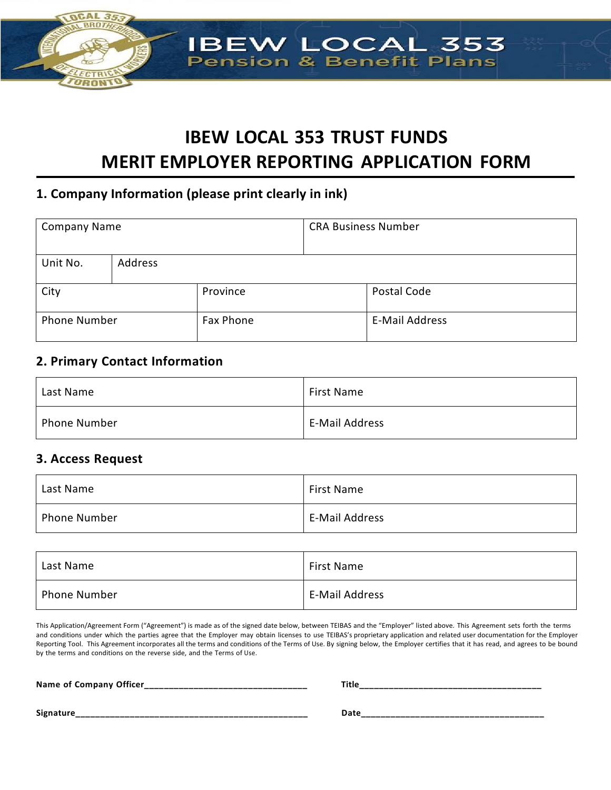

# **IBEW LOCAL 353 TRUST FUNDS MERIT EMPLOYER REPORTING APPLICATION FORM**

# **1. Company Information (please print clearly in ink)**

| <b>Company Name</b> |         | <b>CRA Business Number</b> |  |                       |
|---------------------|---------|----------------------------|--|-----------------------|
| Unit No.            | Address |                            |  |                       |
| City                |         | Province                   |  | Postal Code           |
| <b>Phone Number</b> |         | Fax Phone                  |  | <b>E-Mail Address</b> |

# **2. Primary Contact Information**

| Last Name           | <b>First Name</b> |
|---------------------|-------------------|
| <b>Phone Number</b> | E-Mail Address    |

# **3. Access Request**

| Last Name           | <b>First Name</b>     |
|---------------------|-----------------------|
| <b>Phone Number</b> | <b>E-Mail Address</b> |

| Last Name           | <b>First Name</b>     |
|---------------------|-----------------------|
| <b>Phone Number</b> | <b>E-Mail Address</b> |

This Application/Agreement Form ("Agreement") is made as of the signed date below, between TEIBAS and the "Employer" listed above. This Agreement sets forth the terms and conditions under which the parties agree that the Employer may obtain licenses to use TEIBAS's proprietary application and related user documentation for the Employer Reporting Tool. This Agreement incorporates all the terms and conditions of the Terms of Use. By signing below, the Employer certifies that it has read, and agrees to be bound by the terms and conditions on the reverse side, and the Terms of Use.

| Name of Company Officer<br>____ | Title |
|---------------------------------|-------|
| Signature<br>__________         | Date  |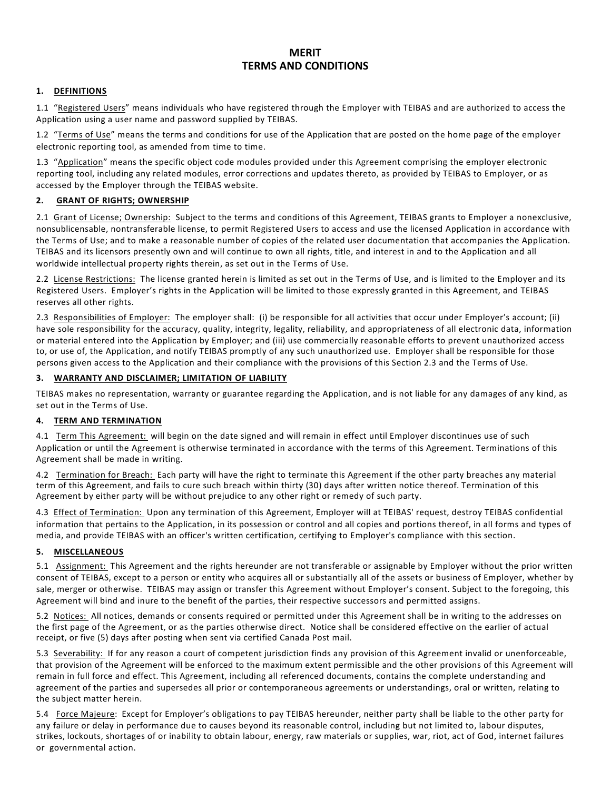### **MERIT TERMS AND CONDITIONS**

### **1. DEFINITIONS**

1.1 "Registered Users" means individuals who have registered through the Employer with TEIBAS and are authorized to access the Application using a user name and password supplied by TEIBAS.

1.2 "Terms of Use" means the terms and conditions for use of the Application that are posted on the home page of the employer electronic reporting tool, as amended from time to time. 

1.3 "Application" means the specific object code modules provided under this Agreement comprising the employer electronic reporting tool, including any related modules, error corrections and updates thereto, as provided by TEIBAS to Employer, or as accessed by the Employer through the TEIBAS website. 

### **2. GRANT OF RIGHTS; OWNERSHIP**

2.1 Grant of License; Ownership: Subject to the terms and conditions of this Agreement, TEIBAS grants to Employer a nonexclusive, nonsublicensable, nontransferable license, to permit Registered Users to access and use the licensed Application in accordance with the Terms of Use; and to make a reasonable number of copies of the related user documentation that accompanies the Application. TEIBAS and its licensors presently own and will continue to own all rights, title, and interest in and to the Application and all worldwide intellectual property rights therein, as set out in the Terms of Use.

2.2 License Restrictions: The license granted herein is limited as set out in the Terms of Use, and is limited to the Employer and its Registered Users. Employer's rights in the Application will be limited to those expressly granted in this Agreement, and TEIBAS reserves all other rights.

2.3 Responsibilities of Employer: The employer shall: (i) be responsible for all activities that occur under Employer's account; (ii) have sole responsibility for the accuracy, quality, integrity, legality, reliability, and appropriateness of all electronic data, information or material entered into the Application by Employer; and (iii) use commercially reasonable efforts to prevent unauthorized access to, or use of, the Application, and notify TEIBAS promptly of any such unauthorized use. Employer shall be responsible for those persons given access to the Application and their compliance with the provisions of this Section 2.3 and the Terms of Use.

#### **3. WARRANTY AND DISCLAIMER; LIMITATION OF LIABILITY**

TEIBAS makes no representation, warranty or guarantee regarding the Application, and is not liable for any damages of any kind, as set out in the Terms of Use.

### **4. TERM AND TERMINATION**

4.1 Term This Agreement: will begin on the date signed and will remain in effect until Employer discontinues use of such Application or until the Agreement is otherwise terminated in accordance with the terms of this Agreement. Terminations of this Agreement shall be made in writing.

4.2 Termination for Breach: Each party will have the right to terminate this Agreement if the other party breaches any material term of this Agreement, and fails to cure such breach within thirty (30) days after written notice thereof. Termination of this Agreement by either party will be without prejudice to any other right or remedy of such party.

4.3 Effect of Termination: Upon any termination of this Agreement, Employer will at TEIBAS' request, destroy TEIBAS confidential information that pertains to the Application, in its possession or control and all copies and portions thereof, in all forms and types of media, and provide TEIBAS with an officer's written certification, certifying to Employer's compliance with this section. 

#### **5. MISCELLANEOUS**

5.1 Assignment: This Agreement and the rights hereunder are not transferable or assignable by Employer without the prior written consent of TEIBAS, except to a person or entity who acquires all or substantially all of the assets or business of Employer, whether by sale, merger or otherwise. TEIBAS may assign or transfer this Agreement without Employer's consent. Subject to the foregoing, this Agreement will bind and inure to the benefit of the parties, their respective successors and permitted assigns.

5.2 Notices: All notices, demands or consents required or permitted under this Agreement shall be in writing to the addresses on the first page of the Agreement, or as the parties otherwise direct. Notice shall be considered effective on the earlier of actual receipt, or five (5) days after posting when sent via certified Canada Post mail.

5.3 Severability: If for any reason a court of competent jurisdiction finds any provision of this Agreement invalid or unenforceable, that provision of the Agreement will be enforced to the maximum extent permissible and the other provisions of this Agreement will remain in full force and effect. This Agreement, including all referenced documents, contains the complete understanding and agreement of the parties and supersedes all prior or contemporaneous agreements or understandings, oral or written, relating to the subject matter herein.

5.4 Force Majeure: Except for Employer's obligations to pay TEIBAS hereunder, neither party shall be liable to the other party for any failure or delay in performance due to causes beyond its reasonable control, including but not limited to, labour disputes, strikes, lockouts, shortages of or inability to obtain labour, energy, raw materials or supplies, war, riot, act of God, internet failures or governmental action.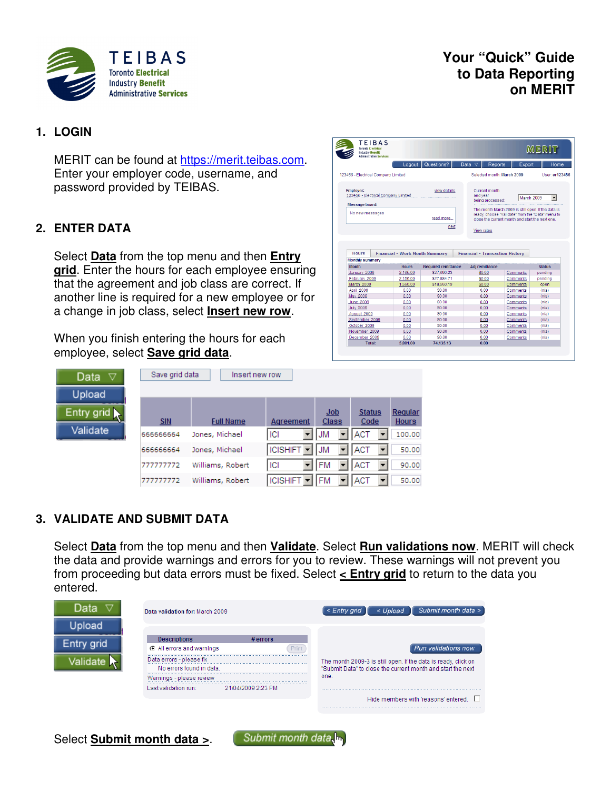

# **Your "Quick" Guide to Data Reporting on MERIT**

# **1. LOGIN**

MERIT can be found at https://merit.teibas.com. Enter your employer code, username, and password provided by TEIBAS.

# **2. ENTER DATA**

Select **Data** from the top menu and then **Entry grid**. Enter the hours for each employee ensuring that the agreement and job class are correct. If another line is required for a new employee or for a change in job class, select **Insert new row**.

When you finish entering the hours for each employee, select **Save grid data**.

| Data<br>▽                        | Save grid data | Insert new row   |                                       |              |                       |                         |
|----------------------------------|----------------|------------------|---------------------------------------|--------------|-----------------------|-------------------------|
| Upload                           |                |                  |                                       |              |                       |                         |
| Entry grid $\blacktriangleright$ | <b>SIN</b>     | <b>Full Name</b> | Agreement                             | Job<br>Class | <b>Status</b><br>Code | Regular<br><b>Hours</b> |
| Validate                         | 66666664       | Jones, Michael   | ICI                                   | <b>JM</b>    | <b>ACT</b>            | 100.00                  |
|                                  | 66666664       | Jones, Michael   | <b>ICISHIFT</b>                       | <b>JM</b>    | <b>ACT</b>            | 50.00                   |
|                                  | 777777772      | Williams, Robert | ICI                                   | <b>FM</b>    | <b>ACT</b>            | 90.00                   |
|                                  | 777777772      | Williams, Robert | <b>ICISHIFT</b> $\blacktriangleright$ | <b>IFM</b>   | <b>IACT</b>           | 50.00                   |

# **3. VALIDATE AND SUBMIT DATA**

Select **Data** from the top menu and then **Validate**. Select **Run validations now**. MERIT will check the data and provide warnings and errors for you to review. These warnings will not prevent you from proceeding but data errors must be fixed. Select **< Entry grid** to return to the data you entered.



| <b>Industry Benefit</b><br><b>Administrative Services</b> |                                       |                            |                                                 |          | MERIT                                              |
|-----------------------------------------------------------|---------------------------------------|----------------------------|-------------------------------------------------|----------|----------------------------------------------------|
|                                                           | Logout                                | Questions?                 | Reports<br>Data<br>$\triangledown$              | Export   | Home                                               |
| 123456 - Electrical Company Limited                       |                                       |                            | Selected month: March 2009                      |          | User: er123456                                     |
| <b>Employer:</b><br>123456 - Electrical Company Limited   |                                       | view details               | Current month<br>and vear<br>being processed:   |          | March 2009<br>۰                                    |
| Message board:                                            |                                       |                            |                                                 |          | The month March 2009 is still open. If the data is |
| No new messages                                           |                                       | read more                  | close the current month and start the next one. |          | ready, choose "Validate" from the "Data" menu to   |
|                                                           |                                       | next                       |                                                 |          |                                                    |
|                                                           |                                       |                            | View rates                                      |          |                                                    |
|                                                           |                                       |                            |                                                 |          |                                                    |
| <b>Hours</b><br>Monthly summary                           | <b>Financial - Work Month Summary</b> |                            | <b>Financial - Transaction History</b>          |          |                                                    |
| <b>Month</b>                                              | <b>Hours</b>                          | <b>Required remittance</b> | Adj remittance                                  |          | <b>Status</b>                                      |
| January 2009                                              | 2,165.00                              | \$27.690.23                | \$0.00                                          | Comments | pending                                            |
| February 2009                                             | 2,156.00                              | \$27.884.71                | \$0.00                                          | Comments | pending                                            |
| March 2009                                                | 1,560.00                              | \$18,560.19                | \$0.00                                          | Comments | open                                               |
| April 2009                                                | 0.00                                  | \$0.00                     | 0.00                                            | Comments | (n/a)                                              |
| May 2009                                                  | 0.00                                  | \$0.00                     | 0.00                                            | Comments | (n/a)                                              |
| June 2009                                                 | 0.00                                  | \$0.00                     | 0.00                                            | Comments | (n/a)                                              |
| <b>July 2009</b>                                          | 0.00                                  | \$0.00                     | 0.00                                            | Comments | (n/a)                                              |
| August 2009                                               | 0.00                                  | \$0.00                     | 0.00                                            | Comments | (n/a)                                              |
| September 2009                                            | 0.00                                  | \$0.00                     | 0.00                                            | Comments | (n/a)                                              |
| October 2009                                              | 0.00                                  | \$0.00                     | 0.00                                            | Comments | (n/a)                                              |
| November 2009                                             | 0.00                                  | \$0.00                     | 0.00                                            | Comments | (n/a)                                              |
| December 2009                                             | 0.00                                  | \$0.00                     | 0.00                                            | Comments | (n/a)                                              |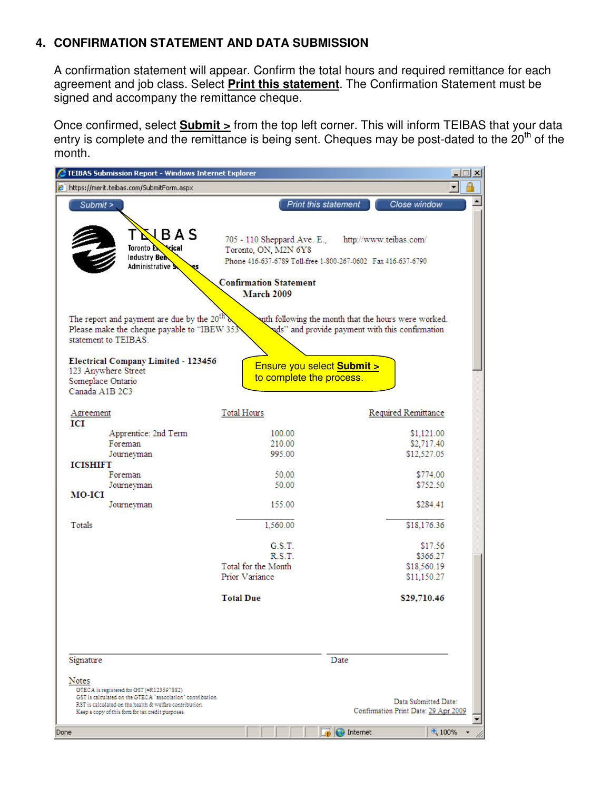# **4. CONFIRMATION STATEMENT AND DATA SUBMISSION**

A confirmation statement will appear. Confirm the total hours and required remittance for each agreement and job class. Select **Print this statement**. The Confirmation Statement must be signed and accompany the remittance cheque.

Once confirmed, select **Submit >** from the top left corner. This will inform TEIBAS that your data entry is complete and the remittance is being sent. Cheques may be post-dated to the  $20<sup>th</sup>$  of the month.